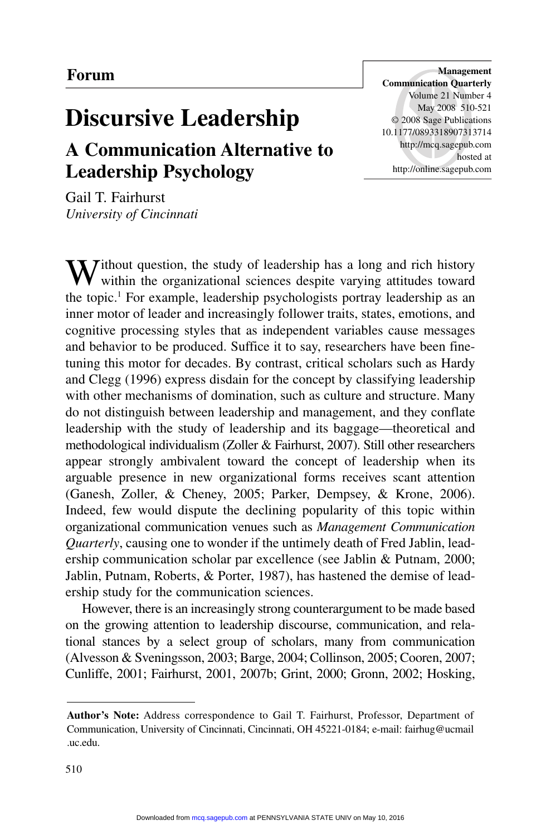# **Discursive Leadership**

## **A Communication Alternative to Leadership Psychology**

Gail T. Fairhurst *University of Cincinnati*

**Management Communication Quarterly** Volume 21 Number 4 May 2008 510-521 © 2008 Sage Publications 10.1177/0893318907313714 http://mcq.sagepub.com hosted at http://online.sagepub.com

 $\sum$  *T*ithout question, the study of leadership has a long and rich history within the organizational sciences despite varying attitudes toward the topic.1 For example, leadership psychologists portray leadership as an inner motor of leader and increasingly follower traits, states, emotions, and cognitive processing styles that as independent variables cause messages and behavior to be produced. Suffice it to say, researchers have been finetuning this motor for decades. By contrast, critical scholars such as Hardy and Clegg (1996) express disdain for the concept by classifying leadership with other mechanisms of domination, such as culture and structure. Many do not distinguish between leadership and management, and they conflate leadership with the study of leadership and its baggage—theoretical and methodological individualism (Zoller & Fairhurst, 2007). Still other researchers appear strongly ambivalent toward the concept of leadership when its arguable presence in new organizational forms receives scant attention (Ganesh, Zoller, & Cheney, 2005; Parker, Dempsey, & Krone, 2006). Indeed, few would dispute the declining popularity of this topic within organizational communication venues such as *Management Communication Quarterly*, causing one to wonder if the untimely death of Fred Jablin, leadership communication scholar par excellence (see Jablin & Putnam, 2000; Jablin, Putnam, Roberts, & Porter, 1987), has hastened the demise of leadership study for the communication sciences.

However, there is an increasingly strong counterargument to be made based on the growing attention to leadership discourse, communication, and relational stances by a select group of scholars, many from communication (Alvesson & Sveningsson, 2003; Barge, 2004; Collinson, 2005; Cooren, 2007; Cunliffe, 2001; Fairhurst, 2001, 2007b; Grint, 2000; Gronn, 2002; Hosking,

**Author's Note:** Address correspondence to Gail T. Fairhurst, Professor, Department of Communication, University of Cincinnati, Cincinnati, OH 45221-0184; e-mail: fairhug@ucmail .uc.edu.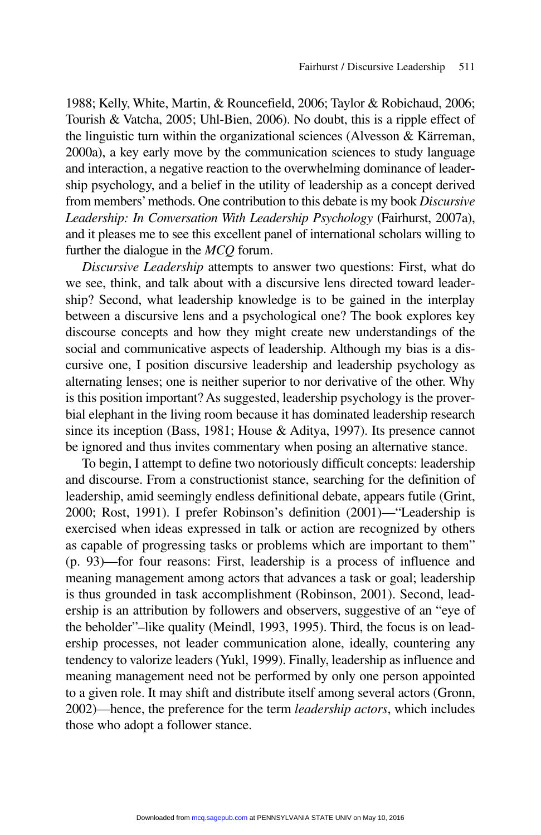1988; Kelly, White, Martin, & Rouncefield, 2006; Taylor & Robichaud, 2006; Tourish & Vatcha, 2005; Uhl-Bien, 2006). No doubt, this is a ripple effect of the linguistic turn within the organizational sciences (Alvesson & Kärreman, 2000a), a key early move by the communication sciences to study language and interaction, a negative reaction to the overwhelming dominance of leadership psychology, and a belief in the utility of leadership as a concept derived from members'methods. One contribution to this debate is my book *Discursive Leadership: In Conversation With Leadership Psychology* (Fairhurst, 2007a), and it pleases me to see this excellent panel of international scholars willing to further the dialogue in the *MCQ* forum.

*Discursive Leadership* attempts to answer two questions: First, what do we see, think, and talk about with a discursive lens directed toward leadership? Second, what leadership knowledge is to be gained in the interplay between a discursive lens and a psychological one? The book explores key discourse concepts and how they might create new understandings of the social and communicative aspects of leadership. Although my bias is a discursive one, I position discursive leadership and leadership psychology as alternating lenses; one is neither superior to nor derivative of the other. Why is this position important? As suggested, leadership psychology is the proverbial elephant in the living room because it has dominated leadership research since its inception (Bass, 1981; House & Aditya, 1997). Its presence cannot be ignored and thus invites commentary when posing an alternative stance.

To begin, I attempt to define two notoriously difficult concepts: leadership and discourse. From a constructionist stance, searching for the definition of leadership, amid seemingly endless definitional debate, appears futile (Grint, 2000; Rost, 1991). I prefer Robinson's definition (2001)—"Leadership is exercised when ideas expressed in talk or action are recognized by others as capable of progressing tasks or problems which are important to them" (p. 93)—for four reasons: First, leadership is a process of influence and meaning management among actors that advances a task or goal; leadership is thus grounded in task accomplishment (Robinson, 2001). Second, leadership is an attribution by followers and observers, suggestive of an "eye of the beholder"–like quality (Meindl, 1993, 1995). Third, the focus is on leadership processes, not leader communication alone, ideally, countering any tendency to valorize leaders (Yukl, 1999). Finally, leadership as influence and meaning management need not be performed by only one person appointed to a given role. It may shift and distribute itself among several actors (Gronn, 2002)—hence, the preference for the term *leadership actors*, which includes those who adopt a follower stance.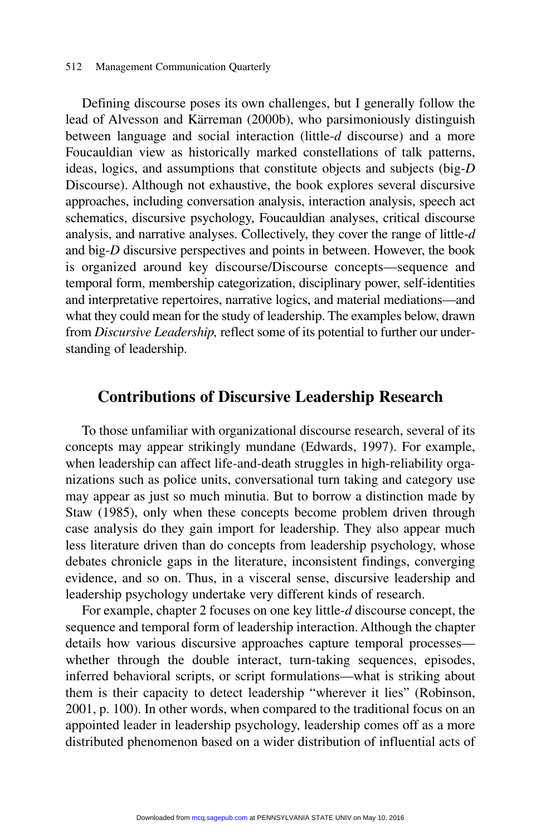#### 512 Management Communication Quarterly

Defining discourse poses its own challenges, but I generally follow the lead of Alvesson and Kärreman (2000b), who parsimoniously distinguish between language and social interaction (little-*d* discourse) and a more Foucauldian view as historically marked constellations of talk patterns, ideas, logics, and assumptions that constitute objects and subjects (big-*D* Discourse). Although not exhaustive, the book explores several discursive approaches, including conversation analysis, interaction analysis, speech act schematics, discursive psychology, Foucauldian analyses, critical discourse analysis, and narrative analyses. Collectively, they cover the range of little-*d* and big-*D* discursive perspectives and points in between. However, the book is organized around key discourse/Discourse concepts—sequence and temporal form, membership categorization, disciplinary power, self-identities and interpretative repertoires, narrative logics, and material mediations—and what they could mean for the study of leadership. The examples below, drawn from *Discursive Leadership,* reflect some of its potential to further our understanding of leadership.

#### **Contributions of Discursive Leadership Research**

To those unfamiliar with organizational discourse research, several of its concepts may appear strikingly mundane (Edwards, 1997). For example, when leadership can affect life-and-death struggles in high-reliability organizations such as police units, conversational turn taking and category use may appear as just so much minutia. But to borrow a distinction made by Staw (1985), only when these concepts become problem driven through case analysis do they gain import for leadership. They also appear much less literature driven than do concepts from leadership psychology, whose debates chronicle gaps in the literature, inconsistent findings, converging evidence, and so on. Thus, in a visceral sense, discursive leadership and leadership psychology undertake very different kinds of research.

For example, chapter 2 focuses on one key little-*d* discourse concept, the sequence and temporal form of leadership interaction. Although the chapter details how various discursive approaches capture temporal processes whether through the double interact, turn-taking sequences, episodes, inferred behavioral scripts, or script formulations—what is striking about them is their capacity to detect leadership "wherever it lies" (Robinson, 2001, p. 100). In other words, when compared to the traditional focus on an appointed leader in leadership psychology, leadership comes off as a more distributed phenomenon based on a wider distribution of influential acts of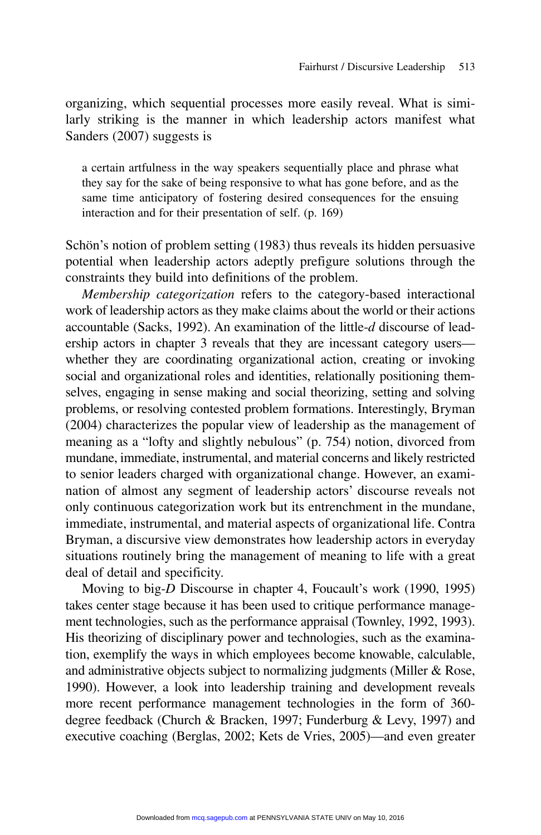organizing, which sequential processes more easily reveal. What is similarly striking is the manner in which leadership actors manifest what Sanders (2007) suggests is

a certain artfulness in the way speakers sequentially place and phrase what they say for the sake of being responsive to what has gone before, and as the same time anticipatory of fostering desired consequences for the ensuing interaction and for their presentation of self. (p. 169)

Schön's notion of problem setting (1983) thus reveals its hidden persuasive potential when leadership actors adeptly prefigure solutions through the constraints they build into definitions of the problem.

*Membership categorization* refers to the category-based interactional work of leadership actors as they make claims about the world or their actions accountable (Sacks, 1992). An examination of the little-*d* discourse of leadership actors in chapter 3 reveals that they are incessant category users whether they are coordinating organizational action, creating or invoking social and organizational roles and identities, relationally positioning themselves, engaging in sense making and social theorizing, setting and solving problems, or resolving contested problem formations. Interestingly, Bryman (2004) characterizes the popular view of leadership as the management of meaning as a "lofty and slightly nebulous" (p. 754) notion, divorced from mundane, immediate, instrumental, and material concerns and likely restricted to senior leaders charged with organizational change. However, an examination of almost any segment of leadership actors' discourse reveals not only continuous categorization work but its entrenchment in the mundane, immediate, instrumental, and material aspects of organizational life. Contra Bryman, a discursive view demonstrates how leadership actors in everyday situations routinely bring the management of meaning to life with a great deal of detail and specificity.

Moving to big-*D* Discourse in chapter 4, Foucault's work (1990, 1995) takes center stage because it has been used to critique performance management technologies, such as the performance appraisal (Townley, 1992, 1993). His theorizing of disciplinary power and technologies, such as the examination, exemplify the ways in which employees become knowable, calculable, and administrative objects subject to normalizing judgments (Miller & Rose, 1990). However, a look into leadership training and development reveals more recent performance management technologies in the form of 360 degree feedback (Church & Bracken, 1997; Funderburg & Levy, 1997) and executive coaching (Berglas, 2002; Kets de Vries, 2005)—and even greater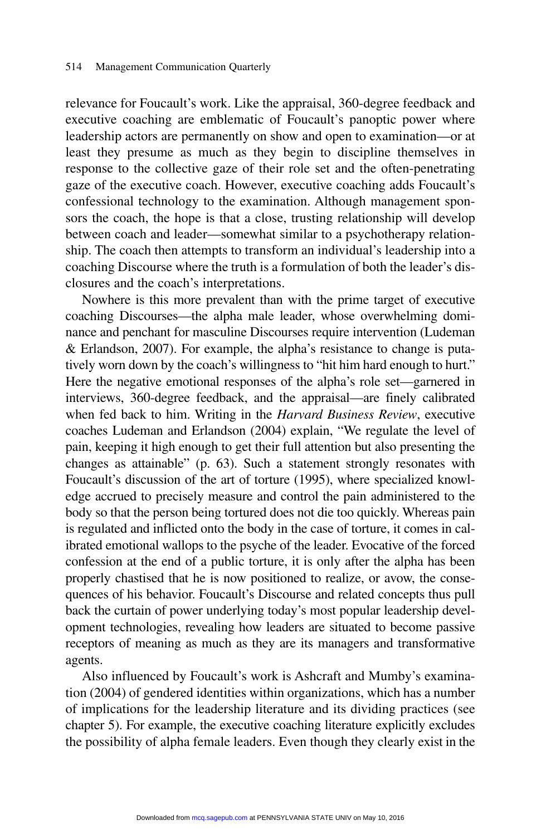relevance for Foucault's work. Like the appraisal, 360-degree feedback and executive coaching are emblematic of Foucault's panoptic power where leadership actors are permanently on show and open to examination—or at least they presume as much as they begin to discipline themselves in response to the collective gaze of their role set and the often-penetrating gaze of the executive coach. However, executive coaching adds Foucault's confessional technology to the examination. Although management sponsors the coach, the hope is that a close, trusting relationship will develop between coach and leader—somewhat similar to a psychotherapy relationship. The coach then attempts to transform an individual's leadership into a coaching Discourse where the truth is a formulation of both the leader's disclosures and the coach's interpretations.

Nowhere is this more prevalent than with the prime target of executive coaching Discourses—the alpha male leader, whose overwhelming dominance and penchant for masculine Discourses require intervention (Ludeman & Erlandson, 2007). For example, the alpha's resistance to change is putatively worn down by the coach's willingness to "hit him hard enough to hurt." Here the negative emotional responses of the alpha's role set—garnered in interviews, 360-degree feedback, and the appraisal—are finely calibrated when fed back to him. Writing in the *Harvard Business Review*, executive coaches Ludeman and Erlandson (2004) explain, "We regulate the level of pain, keeping it high enough to get their full attention but also presenting the changes as attainable" (p. 63). Such a statement strongly resonates with Foucault's discussion of the art of torture (1995), where specialized knowledge accrued to precisely measure and control the pain administered to the body so that the person being tortured does not die too quickly. Whereas pain is regulated and inflicted onto the body in the case of torture, it comes in calibrated emotional wallops to the psyche of the leader. Evocative of the forced confession at the end of a public torture, it is only after the alpha has been properly chastised that he is now positioned to realize, or avow, the consequences of his behavior. Foucault's Discourse and related concepts thus pull back the curtain of power underlying today's most popular leadership development technologies, revealing how leaders are situated to become passive receptors of meaning as much as they are its managers and transformative agents.

Also influenced by Foucault's work is Ashcraft and Mumby's examination (2004) of gendered identities within organizations, which has a number of implications for the leadership literature and its dividing practices (see chapter 5). For example, the executive coaching literature explicitly excludes the possibility of alpha female leaders. Even though they clearly exist in the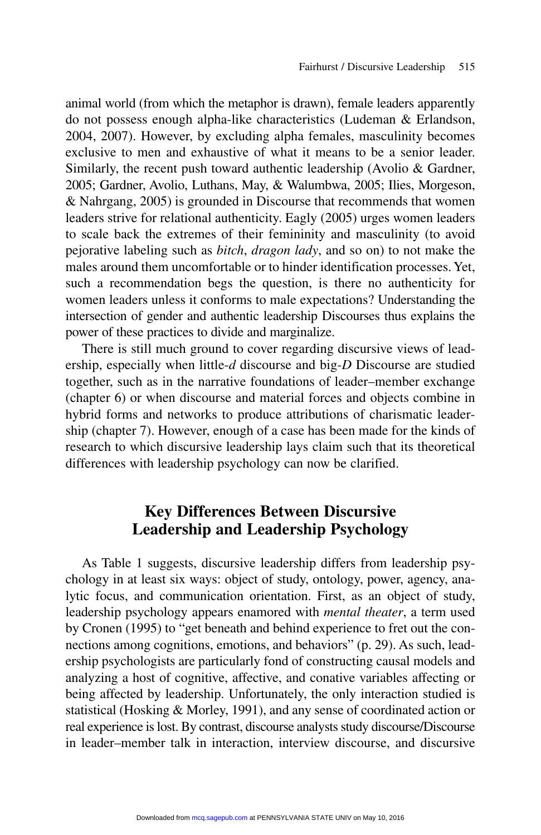animal world (from which the metaphor is drawn), female leaders apparently do not possess enough alpha-like characteristics (Ludeman & Erlandson, 2004, 2007). However, by excluding alpha females, masculinity becomes exclusive to men and exhaustive of what it means to be a senior leader. Similarly, the recent push toward authentic leadership (Avolio & Gardner, 2005; Gardner, Avolio, Luthans, May, & Walumbwa, 2005; Ilies, Morgeson, & Nahrgang, 2005) is grounded in Discourse that recommends that women leaders strive for relational authenticity. Eagly (2005) urges women leaders to scale back the extremes of their femininity and masculinity (to avoid pejorative labeling such as *bitch*, *dragon lady*, and so on) to not make the males around them uncomfortable or to hinder identification processes. Yet, such a recommendation begs the question, is there no authenticity for women leaders unless it conforms to male expectations? Understanding the intersection of gender and authentic leadership Discourses thus explains the power of these practices to divide and marginalize.

There is still much ground to cover regarding discursive views of leadership, especially when little-*d* discourse and big-*D* Discourse are studied together, such as in the narrative foundations of leader–member exchange (chapter 6) or when discourse and material forces and objects combine in hybrid forms and networks to produce attributions of charismatic leadership (chapter 7). However, enough of a case has been made for the kinds of research to which discursive leadership lays claim such that its theoretical differences with leadership psychology can now be clarified.

### **Key Differences Between Discursive Leadership and Leadership Psychology**

As Table 1 suggests, discursive leadership differs from leadership psychology in at least six ways: object of study, ontology, power, agency, analytic focus, and communication orientation. First, as an object of study, leadership psychology appears enamored with *mental theater*, a term used by Cronen (1995) to "get beneath and behind experience to fret out the connections among cognitions, emotions, and behaviors" (p. 29). As such, leadership psychologists are particularly fond of constructing causal models and analyzing a host of cognitive, affective, and conative variables affecting or being affected by leadership. Unfortunately, the only interaction studied is statistical (Hosking & Morley, 1991), and any sense of coordinated action or real experience is lost. By contrast, discourse analysts study discourse/Discourse in leader–member talk in interaction, interview discourse, and discursive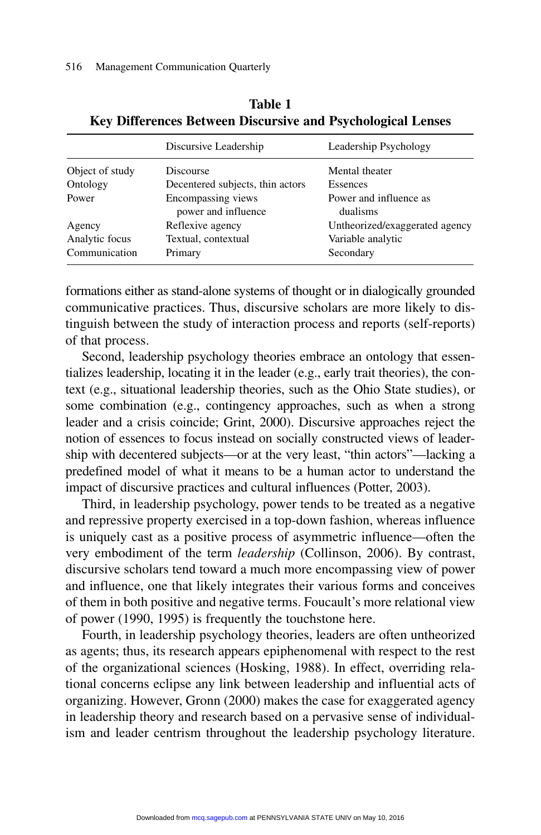|                 | Discursive Leadership                     | Leadership Psychology              |
|-----------------|-------------------------------------------|------------------------------------|
| Object of study | <b>Discourse</b>                          | Mental theater                     |
| Ontology        | Decentered subjects, thin actors          | Essences                           |
| Power           | Encompassing views<br>power and influence | Power and influence as<br>dualisms |
| Agency          | Reflexive agency                          | Untheorized/exaggerated agency     |
| Analytic focus  | Textual, contextual                       | Variable analytic                  |
| Communication   | Primary                                   | Secondary                          |

**Table 1 Key Differences Between Discursive and Psychological Lenses**

formations either as stand-alone systems of thought or in dialogically grounded communicative practices. Thus, discursive scholars are more likely to distinguish between the study of interaction process and reports (self-reports) of that process.

Second, leadership psychology theories embrace an ontology that essentializes leadership, locating it in the leader (e.g., early trait theories), the context (e.g., situational leadership theories, such as the Ohio State studies), or some combination (e.g., contingency approaches, such as when a strong leader and a crisis coincide; Grint, 2000). Discursive approaches reject the notion of essences to focus instead on socially constructed views of leadership with decentered subjects—or at the very least, "thin actors"—lacking a predefined model of what it means to be a human actor to understand the impact of discursive practices and cultural influences (Potter, 2003).

Third, in leadership psychology, power tends to be treated as a negative and repressive property exercised in a top-down fashion, whereas influence is uniquely cast as a positive process of asymmetric influence—often the very embodiment of the term *leadership* (Collinson, 2006). By contrast, discursive scholars tend toward a much more encompassing view of power and influence, one that likely integrates their various forms and conceives of them in both positive and negative terms. Foucault's more relational view of power (1990, 1995) is frequently the touchstone here.

Fourth, in leadership psychology theories, leaders are often untheorized as agents; thus, its research appears epiphenomenal with respect to the rest of the organizational sciences (Hosking, 1988). In effect, overriding relational concerns eclipse any link between leadership and influential acts of organizing. However, Gronn (2000) makes the case for exaggerated agency in leadership theory and research based on a pervasive sense of individualism and leader centrism throughout the leadership psychology literature.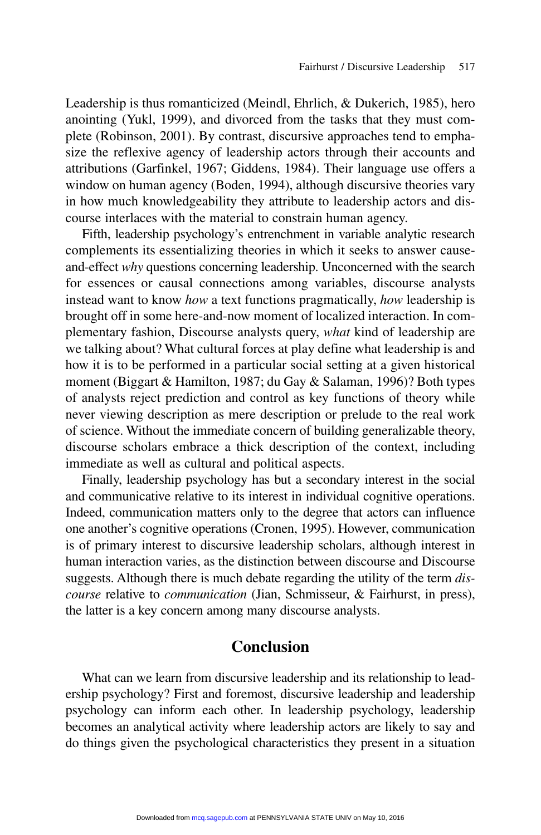Leadership is thus romanticized (Meindl, Ehrlich, & Dukerich, 1985), hero anointing (Yukl, 1999), and divorced from the tasks that they must complete (Robinson, 2001). By contrast, discursive approaches tend to emphasize the reflexive agency of leadership actors through their accounts and attributions (Garfinkel, 1967; Giddens, 1984). Their language use offers a window on human agency (Boden, 1994), although discursive theories vary in how much knowledgeability they attribute to leadership actors and discourse interlaces with the material to constrain human agency.

Fifth, leadership psychology's entrenchment in variable analytic research complements its essentializing theories in which it seeks to answer causeand-effect *why* questions concerning leadership. Unconcerned with the search for essences or causal connections among variables, discourse analysts instead want to know *how* a text functions pragmatically, *how* leadership is brought off in some here-and-now moment of localized interaction. In complementary fashion, Discourse analysts query, *what* kind of leadership are we talking about? What cultural forces at play define what leadership is and how it is to be performed in a particular social setting at a given historical moment (Biggart & Hamilton, 1987; du Gay & Salaman, 1996)? Both types of analysts reject prediction and control as key functions of theory while never viewing description as mere description or prelude to the real work of science. Without the immediate concern of building generalizable theory, discourse scholars embrace a thick description of the context, including immediate as well as cultural and political aspects.

Finally, leadership psychology has but a secondary interest in the social and communicative relative to its interest in individual cognitive operations. Indeed, communication matters only to the degree that actors can influence one another's cognitive operations (Cronen, 1995). However, communication is of primary interest to discursive leadership scholars, although interest in human interaction varies, as the distinction between discourse and Discourse suggests. Although there is much debate regarding the utility of the term *discourse* relative to *communication* (Jian, Schmisseur, & Fairhurst, in press), the latter is a key concern among many discourse analysts.

#### **Conclusion**

What can we learn from discursive leadership and its relationship to leadership psychology? First and foremost, discursive leadership and leadership psychology can inform each other. In leadership psychology, leadership becomes an analytical activity where leadership actors are likely to say and do things given the psychological characteristics they present in a situation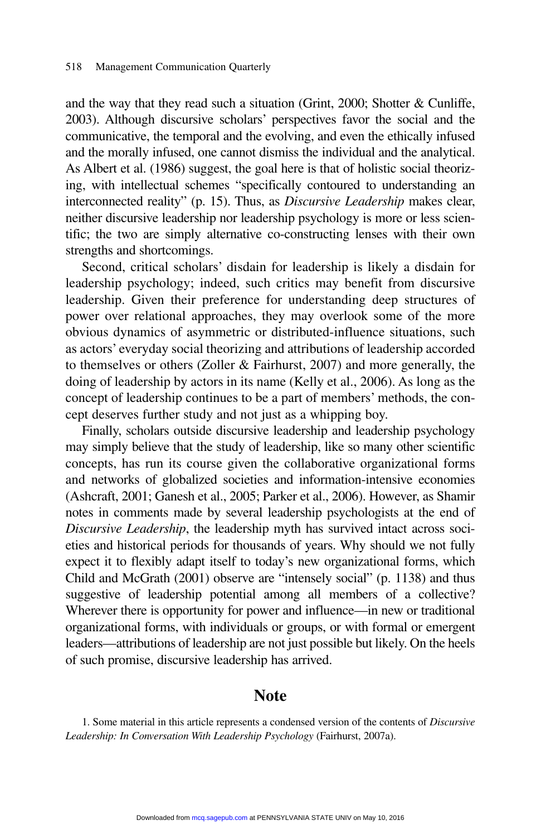and the way that they read such a situation (Grint, 2000; Shotter & Cunliffe, 2003). Although discursive scholars' perspectives favor the social and the communicative, the temporal and the evolving, and even the ethically infused and the morally infused, one cannot dismiss the individual and the analytical. As Albert et al. (1986) suggest, the goal here is that of holistic social theorizing, with intellectual schemes "specifically contoured to understanding an interconnected reality" (p. 15). Thus, as *Discursive Leadership* makes clear, neither discursive leadership nor leadership psychology is more or less scientific; the two are simply alternative co-constructing lenses with their own strengths and shortcomings.

Second, critical scholars' disdain for leadership is likely a disdain for leadership psychology; indeed, such critics may benefit from discursive leadership. Given their preference for understanding deep structures of power over relational approaches, they may overlook some of the more obvious dynamics of asymmetric or distributed-influence situations, such as actors' everyday social theorizing and attributions of leadership accorded to themselves or others (Zoller & Fairhurst, 2007) and more generally, the doing of leadership by actors in its name (Kelly et al., 2006). As long as the concept of leadership continues to be a part of members' methods, the concept deserves further study and not just as a whipping boy.

Finally, scholars outside discursive leadership and leadership psychology may simply believe that the study of leadership, like so many other scientific concepts, has run its course given the collaborative organizational forms and networks of globalized societies and information-intensive economies (Ashcraft, 2001; Ganesh et al., 2005; Parker et al., 2006). However, as Shamir notes in comments made by several leadership psychologists at the end of *Discursive Leadership*, the leadership myth has survived intact across societies and historical periods for thousands of years. Why should we not fully expect it to flexibly adapt itself to today's new organizational forms, which Child and McGrath (2001) observe are "intensely social" (p. 1138) and thus suggestive of leadership potential among all members of a collective? Wherever there is opportunity for power and influence—in new or traditional organizational forms, with individuals or groups, or with formal or emergent leaders—attributions of leadership are not just possible but likely. On the heels of such promise, discursive leadership has arrived.

#### **Note**

1. Some material in this article represents a condensed version of the contents of *Discursive Leadership: In Conversation With Leadership Psychology* (Fairhurst, 2007a).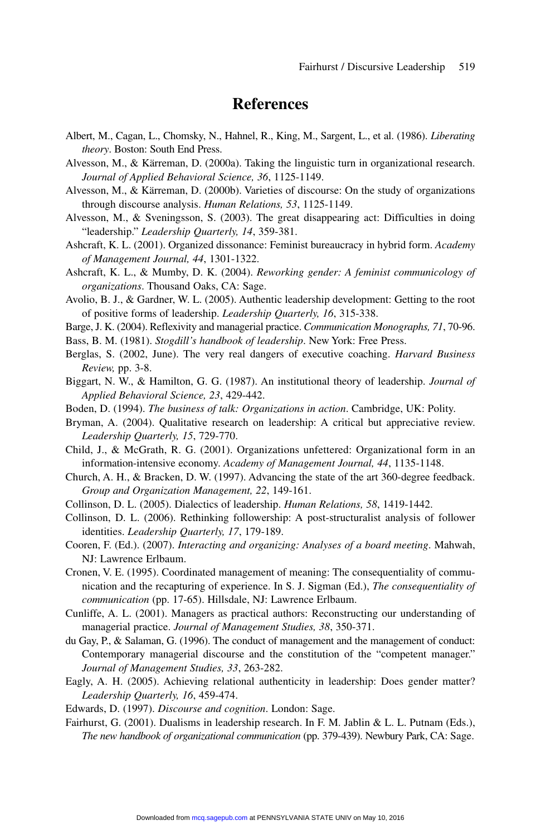#### **References**

- Albert, M., Cagan, L., Chomsky, N., Hahnel, R., King, M., Sargent, L., et al. (1986). *Liberating theory*. Boston: South End Press.
- Alvesson, M., & Kärreman, D. (2000a). Taking the linguistic turn in organizational research. *Journal of Applied Behavioral Science, 36*, 1125-1149.
- Alvesson, M., & Kärreman, D. (2000b). Varieties of discourse: On the study of organizations through discourse analysis. *Human Relations, 53*, 1125-1149.
- Alvesson, M., & Sveningsson, S. (2003). The great disappearing act: Difficulties in doing "leadership." *Leadership Quarterly, 14*, 359-381.
- Ashcraft, K. L. (2001). Organized dissonance: Feminist bureaucracy in hybrid form. *Academy of Management Journal, 44*, 1301-1322.
- Ashcraft, K. L., & Mumby, D. K. (2004). *Reworking gender: A feminist communicology of organizations*. Thousand Oaks, CA: Sage.
- Avolio, B. J., & Gardner, W. L. (2005). Authentic leadership development: Getting to the root of positive forms of leadership. *Leadership Quarterly, 16*, 315-338.
- Barge, J. K. (2004). Reflexivity and managerial practice. *Communication Monographs, 71*, 70-96.
- Bass, B. M. (1981). *Stogdill's handbook of leadership*. New York: Free Press.
- Berglas, S. (2002, June). The very real dangers of executive coaching. *Harvard Business Review,* pp. 3-8.
- Biggart, N. W., & Hamilton, G. G. (1987). An institutional theory of leadership. *Journal of Applied Behavioral Science, 23*, 429-442.
- Boden, D. (1994). *The business of talk: Organizations in action*. Cambridge, UK: Polity.
- Bryman, A. (2004). Qualitative research on leadership: A critical but appreciative review. *Leadership Quarterly, 15*, 729-770.
- Child, J., & McGrath, R. G. (2001). Organizations unfettered: Organizational form in an information-intensive economy. *Academy of Management Journal, 44*, 1135-1148.
- Church, A. H., & Bracken, D. W. (1997). Advancing the state of the art 360-degree feedback. *Group and Organization Management, 22*, 149-161.
- Collinson, D. L. (2005). Dialectics of leadership. *Human Relations, 58*, 1419-1442.
- Collinson, D. L. (2006). Rethinking followership: A post-structuralist analysis of follower identities. *Leadership Quarterly, 17*, 179-189.
- Cooren, F. (Ed.). (2007). *Interacting and organizing: Analyses of a board meeting*. Mahwah, NJ: Lawrence Erlbaum.
- Cronen, V. E. (1995). Coordinated management of meaning: The consequentiality of communication and the recapturing of experience. In S. J. Sigman (Ed.), *The consequentiality of communication* (pp. 17-65). Hillsdale, NJ: Lawrence Erlbaum.
- Cunliffe, A. L. (2001). Managers as practical authors: Reconstructing our understanding of managerial practice. *Journal of Management Studies, 38*, 350-371.
- du Gay, P., & Salaman, G. (1996). The conduct of management and the management of conduct: Contemporary managerial discourse and the constitution of the "competent manager." *Journal of Management Studies, 33*, 263-282.
- Eagly, A. H. (2005). Achieving relational authenticity in leadership: Does gender matter? *Leadership Quarterly, 16*, 459-474.
- Edwards, D. (1997). *Discourse and cognition*. London: Sage.
- Fairhurst, G. (2001). Dualisms in leadership research. In F. M. Jablin & L. L. Putnam (Eds.), *The new handbook of organizational communication* (pp. 379-439). Newbury Park, CA: Sage.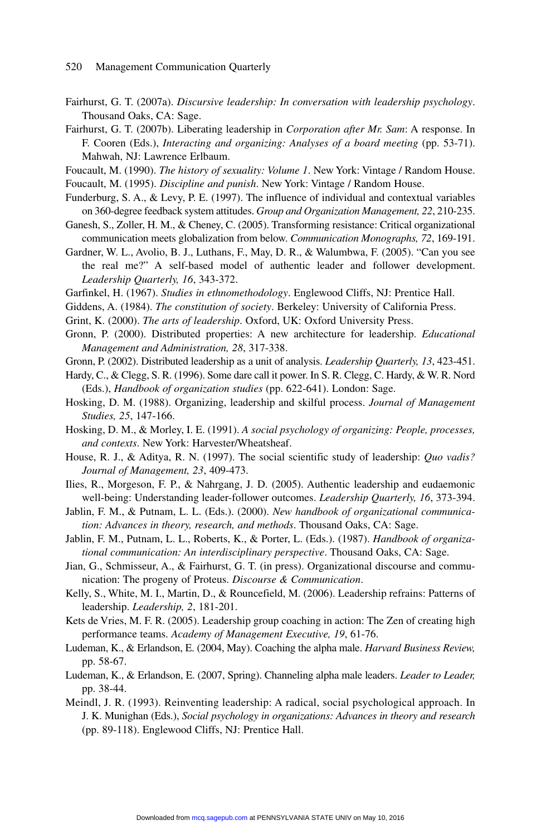- Fairhurst, G. T. (2007a). *Discursive leadership: In conversation with leadership psychology*. Thousand Oaks, CA: Sage.
- Fairhurst, G. T. (2007b). Liberating leadership in *Corporation after Mr. Sam*: A response. In F. Cooren (Eds.), *Interacting and organizing: Analyses of a board meeting* (pp. 53-71). Mahwah, NJ: Lawrence Erlbaum.
- Foucault, M. (1990). *The history of sexuality: Volume 1*. New York: Vintage / Random House.

Foucault, M. (1995). *Discipline and punish*. New York: Vintage / Random House.

- Funderburg, S. A., & Levy, P. E. (1997). The influence of individual and contextual variables on 360-degree feedback system attitudes. *Group and Organization Management, 22*, 210-235.
- Ganesh, S., Zoller, H. M., & Cheney, C. (2005). Transforming resistance: Critical organizational communication meets globalization from below. *Communication Monographs, 72*, 169-191.
- Gardner, W. L., Avolio, B. J., Luthans, F., May, D. R., & Walumbwa, F. (2005). "Can you see the real me?" A self-based model of authentic leader and follower development. *Leadership Quarterly, 16*, 343-372.
- Garfinkel, H. (1967). *Studies in ethnomethodology*. Englewood Cliffs, NJ: Prentice Hall.
- Giddens, A. (1984). *The constitution of society*. Berkeley: University of California Press.

Grint, K. (2000). *The arts of leadership*. Oxford, UK: Oxford University Press.

- Gronn, P. (2000). Distributed properties: A new architecture for leadership. *Educational Management and Administration, 28*, 317-338.
- Gronn, P. (2002). Distributed leadership as a unit of analysis. *Leadership Quarterly, 13*, 423-451.
- Hardy, C., & Clegg, S. R. (1996). Some dare call it power. In S. R. Clegg, C. Hardy, & W. R. Nord (Eds.), *Handbook of organization studies* (pp. 622-641). London: Sage.
- Hosking, D. M. (1988). Organizing, leadership and skilful process. *Journal of Management Studies, 25*, 147-166.
- Hosking, D. M., & Morley, I. E. (1991). *A social psychology of organizing: People, processes, and contexts*. New York: Harvester/Wheatsheaf.
- House, R. J., & Aditya, R. N. (1997). The social scientific study of leadership: *Quo vadis? Journal of Management, 23*, 409-473.
- Ilies, R., Morgeson, F. P., & Nahrgang, J. D. (2005). Authentic leadership and eudaemonic well-being: Understanding leader-follower outcomes. *Leadership Quarterly, 16*, 373-394.
- Jablin, F. M., & Putnam, L. L. (Eds.). (2000). *New handbook of organizational communication: Advances in theory, research, and methods*. Thousand Oaks, CA: Sage.
- Jablin, F. M., Putnam, L. L., Roberts, K., & Porter, L. (Eds.). (1987). *Handbook of organizational communication: An interdisciplinary perspective*. Thousand Oaks, CA: Sage.
- Jian, G., Schmisseur, A., & Fairhurst, G. T. (in press). Organizational discourse and communication: The progeny of Proteus. *Discourse & Communication*.
- Kelly, S., White, M. I., Martin, D., & Rouncefield, M. (2006). Leadership refrains: Patterns of leadership. *Leadership, 2*, 181-201.
- Kets de Vries, M. F. R. (2005). Leadership group coaching in action: The Zen of creating high performance teams. *Academy of Management Executive, 19*, 61-76.
- Ludeman, K., & Erlandson, E. (2004, May). Coaching the alpha male. *Harvard Business Review,* pp. 58-67.
- Ludeman, K., & Erlandson, E. (2007, Spring). Channeling alpha male leaders. *Leader to Leader,* pp. 38-44.
- Meindl, J. R. (1993). Reinventing leadership: A radical, social psychological approach. In J. K. Munighan (Eds.), *Social psychology in organizations: Advances in theory and research* (pp. 89-118). Englewood Cliffs, NJ: Prentice Hall.